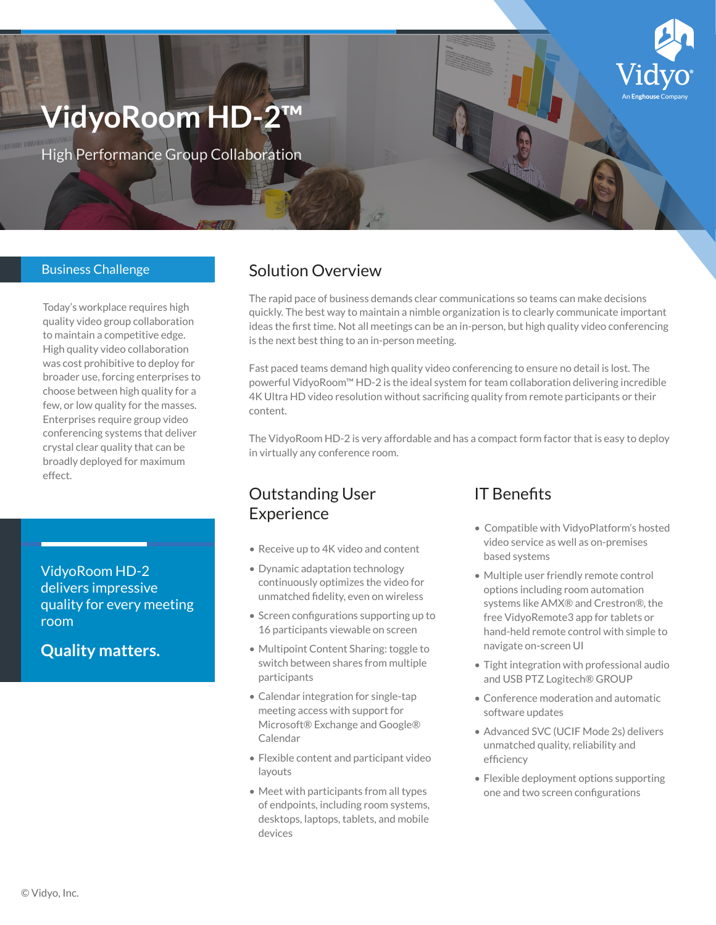# **VidyoRoom HD-2™**

High Performance Group Collaboration

#### Business Challenge

Today's workplace requires high quality video group collaboration to maintain a competitive edge. High quality video collaboration was cost prohibitive to deploy for broader use, forcing enterprises to choose between high quality for a few, or low quality for the masses. Enterprises require group video conferencing systems that deliver crystal clear quality that can be broadly deployed for maximum effect.

VidyoRoom HD-2 delivers impressive quality for every meeting room

**Quality matters.**

## Solution Overview

The rapid pace of business demands clear communications so teams can make decisions quickly. The best way to maintain a nimble organization is to clearly communicate important ideas the first time. Not all meetings can be an in-person, but high quality video conferencing is the next best thing to an in-person meeting.

Fast paced teams demand high quality video conferencing to ensure no detail is lost. The powerful VidyoRoom™ HD-2 is the ideal system for team collaboration delivering incredible 4K Ultra HD video resolution without sacrificing quality from remote participants or their content.

The VidyoRoom HD-2 is very affordable and has a compact form factor that is easy to deploy in virtually any conference room.

### Outstanding User Experience

- Receive up to 4K video and content
- Dynamic adaptation technology continuously optimizes the video for unmatched fidelity, even on wireless
- Screen configurations supporting up to 16 participants viewable on screen
- Multipoint Content Sharing: toggle to switch between shares from multiple participants
- Calendar integration for single-tap meeting access with support for Microsoft® Exchange and Google® Calendar
- Flexible content and participant video layouts
- Meet with participants from all types of endpoints, including room systems, desktops, laptops, tablets, and mobile devices

#### IT Benefits

- Compatible with VidyoPlatform's hosted video service as well as on-premises based systems
- Multiple user friendly remote control options including room automation systems like AMX® and Crestron®, the free VidyoRemote3 app for tablets or hand-held remote control with simple to navigate on-screen UI
- Tight integration with professional audio and USB PTZ Logitech® GROUP
- Conference moderation and automatic software updates
- Advanced SVC (UCIF Mode 2s) delivers unmatched quality, reliability and efficiency
- Flexible deployment options supporting one and two screen configurations